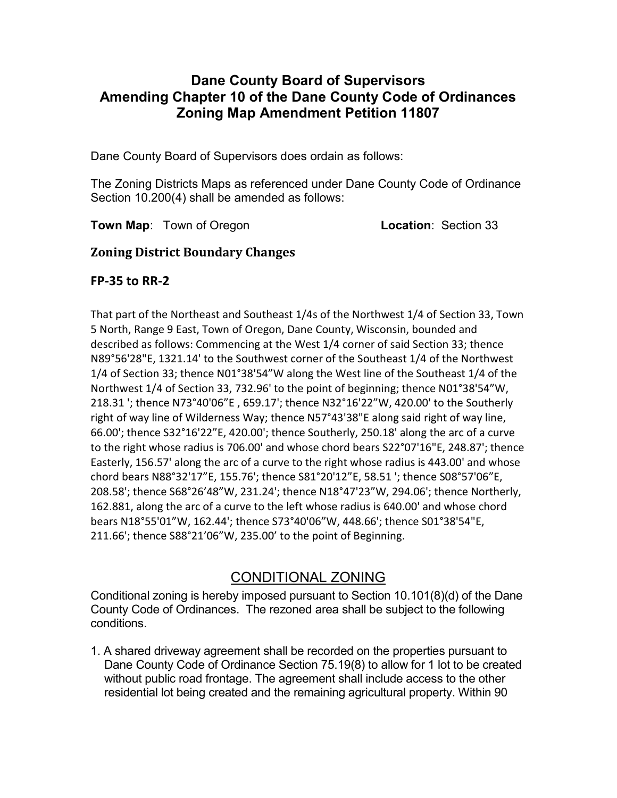## Dane County Board of Supervisors Amending Chapter 10 of the Dane County Code of Ordinances Zoning Map Amendment Petition 11807

Dane County Board of Supervisors does ordain as follows:

The Zoning Districts Maps as referenced under Dane County Code of Ordinance Section 10.200(4) shall be amended as follows:

Town Map: Town of Oregon Location: Section 33

## Zoning District Boundary Changes

## FP-35 to RR-2

That part of the Northeast and Southeast 1/4s of the Northwest 1/4 of Section 33, Town 5 North, Range 9 East, Town of Oregon, Dane County, Wisconsin, bounded and described as follows: Commencing at the West 1/4 corner of said Section 33; thence N89°56'28"E, 1321.14' to the Southwest corner of the Southeast 1/4 of the Northwest 1/4 of Section 33; thence N01°38'54"W along the West line of the Southeast 1/4 of the Northwest 1/4 of Section 33, 732.96' to the point of beginning; thence N01°38'54"W, 218.31 '; thence N73°40'06"E , 659.17'; thence N32°16'22"W, 420.00' to the Southerly right of way line of Wilderness Way; thence N57°43'38"E along said right of way line, 66.00'; thence S32°16'22"E, 420.00'; thence Southerly, 250.18' along the arc of a curve to the right whose radius is 706.00' and whose chord bears S22°07'16"E, 248.87'; thence Easterly, 156.57' along the arc of a curve to the right whose radius is 443.00' and whose chord bears N88°32'17"E, 155.76'; thence S81°20'12"E, 58.51 '; thence S08°57'06"E, 208.58'; thence S68°26'48"W, 231.24'; thence N18°47'23"W, 294.06'; thence Northerly, 162.881, along the arc of a curve to the left whose radius is 640.00' and whose chord bears N18°55'01"W, 162.44'; thence S73°40'06"W, 448.66'; thence S01°38'54"E, 211.66'; thence S88°21'06"W, 235.00' to the point of Beginning.

# CONDITIONAL ZONING

Conditional zoning is hereby imposed pursuant to Section 10.101(8)(d) of the Dane County Code of Ordinances. The rezoned area shall be subject to the following conditions.

1. A shared driveway agreement shall be recorded on the properties pursuant to Dane County Code of Ordinance Section 75.19(8) to allow for 1 lot to be created without public road frontage. The agreement shall include access to the other residential lot being created and the remaining agricultural property. Within 90